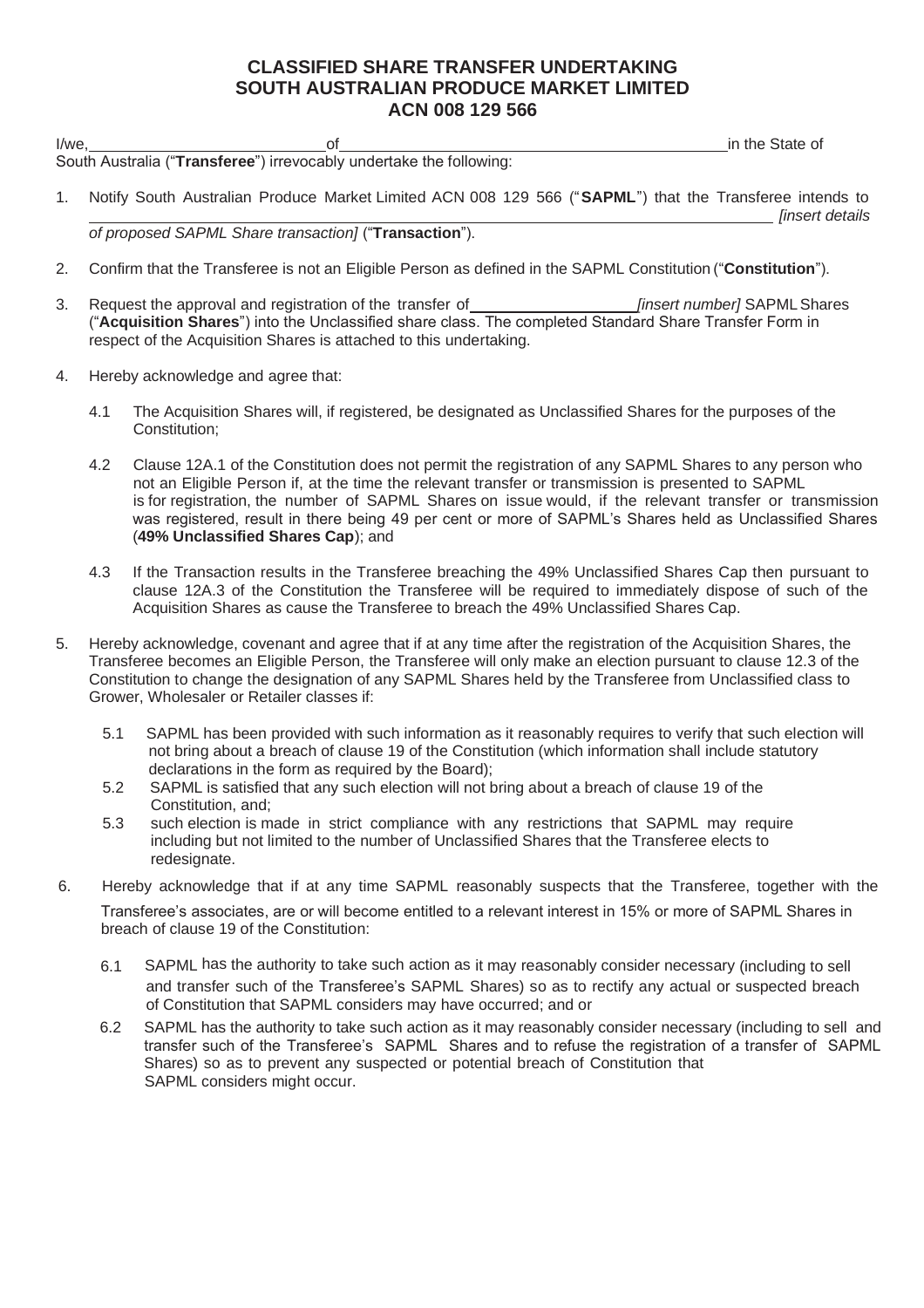## **CLASSIFIED SHARE TRANSFER UNDERTAKING SOUTH AUSTRALIAN PRODUCE MARKET LIMITED ACN 008 129 566**

| I/we |  |                                                                     | in the State of |
|------|--|---------------------------------------------------------------------|-----------------|
|      |  | South Australia ("Transferee") irrevocably undertake the following: |                 |

1. Notify South Australian Produce Market Limited ACN 008 129 566 ("**SAPML**") that the Transferee intends to *[insert details* 

*of proposed SAPML Share transaction]* ("**Transaction**").

- 2. Confirm that the Transferee is not an Eligible Person as defined in the SAPML Constitution("**Constitution**").
- 3. Request the approval and registration of the transfer of *[insert number]* SAPMLShares ("**Acquisition Shares**") into the Unclassified share class. The completed Standard Share Transfer Form in respect of the Acquisition Shares is attached to this undertaking.
- 4. Hereby acknowledge and agree that:
	- 4.1 The Acquisition Shares will, if registered, be designated as Unclassified Shares for the purposes of the Constitution;
	- 4.2 Clause 12A.1 of the Constitution does not permit the registration of any SAPML Shares to any person who not an Eligible Person if, at the time the relevant transfer or transmission is presented to SAPML is for registration, the number of SAPML Shares on issue would, if the relevant transfer or transmission was registered, result in there being 49 per cent or more of SAPML's Shares held as Unclassified Shares (**49% Unclassified Shares Cap**); and
	- 4.3 If the Transaction results in the Transferee breaching the 49% Unclassified Shares Cap then pursuant to clause 12A.3 of the Constitution the Transferee will be required to immediately dispose of such of the Acquisition Shares as cause the Transferee to breach the 49% Unclassified Shares Cap.
- 5. Hereby acknowledge, covenant and agree that if at any time after the registration of the Acquisition Shares, the Transferee becomes an Eligible Person, the Transferee will only make an election pursuant to clause 12.3 of the Constitution to change the designation of any SAPML Shares held by the Transferee from Unclassified class to Grower, Wholesaler or Retailer classes if:
	- 5.1 SAPML has been provided with such information as it reasonably requires to verify that such election will not bring about a breach of clause 19 of the Constitution (which information shall include statutory declarations in the form as required by the Board);
	- 5.2 SAPML is satisfied that any such election will not bring about a breach of clause 19 of the Constitution, and;
	- 5.3 such election is made in strict compliance with any restrictions that SAPML may require including but not limited to the number of Unclassified Shares that the Transferee elects to redesignate.
- 6. Hereby acknowledge that if at any time SAPML reasonably suspects that the Transferee, together with the Transferee's associates, are or will become entitled to a relevant interest in 15% or more of SAPML Shares in breach of clause 19 of the Constitution:
	- 6.1 SAPML has the authority to take such action as it may reasonably consider necessary (including to sell and transfer such of the Transferee's SAPML Shares) so as to rectify any actual or suspected breach of Constitution that SAPML considers may have occurred; and or
	- 6.2 SAPML has the authority to take such action as it may reasonably consider necessary (including to sell and transfer such of the Transferee's SAPML Shares and to refuse the registration of a transfer of SAPML Shares) so as to prevent any suspected or potential breach of Constitution that SAPML considers might occur.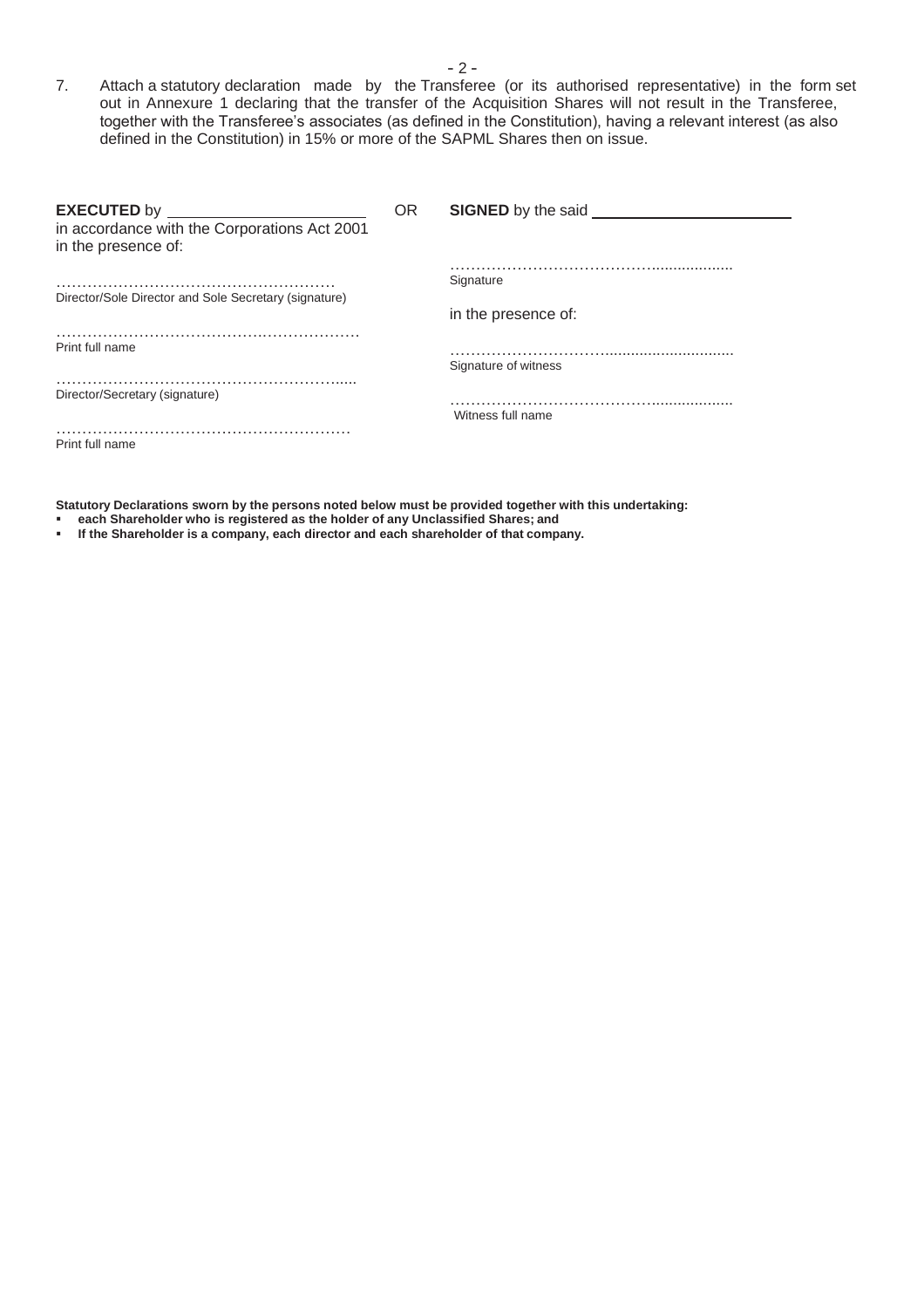7. Attach a statutory declaration made by the Transferee (or its authorised representative) in the form set out in Annexure 1 declaring that the transfer of the Acquisition Shares will not result in the Transferee, together with the Transferee's associates (as defined in the Constitution), having a relevant interest (as also defined in the Constitution) in 15% or more of the SAPML Shares then on issue.

| <b>OR</b> | <b>SIGNED</b> by the said |
|-----------|---------------------------|
|           |                           |
|           | Signature                 |
|           |                           |
|           | in the presence of:       |
|           |                           |
|           | Signature of witness      |
|           |                           |
|           | Witness full name         |
|           |                           |
|           |                           |

**Statutory Declarations sworn by the persons noted below must be provided together with this undertaking:**

- **each Shareholder who is registered as the holder of any Unclassified Shares; and**
- **If the Shareholder is a company, each director and each shareholder of that company.**